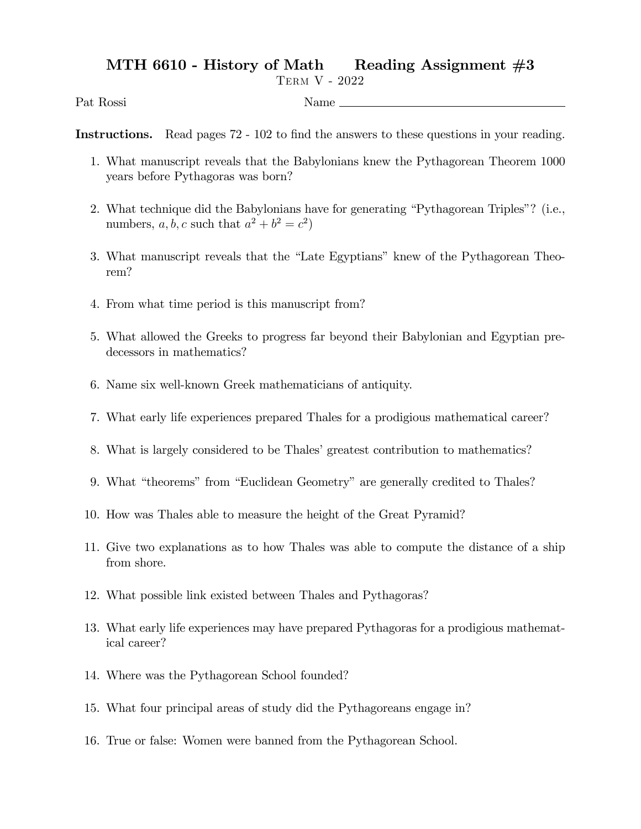## MTH 6610 - History of Math Reading Assignment  $#3$

Term V - 2022

Pat Rossi Name

Instructions. Read pages 72 - 102 to find the answers to these questions in your reading.

- 1. What manuscript reveals that the Babylonians knew the Pythagorean Theorem 1000 years before Pythagoras was born?
- 2. What technique did the Babylonians have for generating "Pythagorean Triples"? (i.e., numbers, a, b, c such that  $a^2 + b^2 = c^2$ )
- 3. What manuscript reveals that the "Late Egyptians" knew of the Pythagorean Theorem?
- 4. From what time period is this manuscript from?
- 5. What allowed the Greeks to progress far beyond their Babylonian and Egyptian predecessors in mathematics?
- 6. Name six well-known Greek mathematicians of antiquity.
- 7. What early life experiences prepared Thales for a prodigious mathematical career?
- 8. What is largely considered to be Thales' greatest contribution to mathematics?
- 9. What "theorems" from "Euclidean Geometry" are generally credited to Thales?
- 10. How was Thales able to measure the height of the Great Pyramid?
- 11. Give two explanations as to how Thales was able to compute the distance of a ship from shore.
- 12. What possible link existed between Thales and Pythagoras?
- 13. What early life experiences may have prepared Pythagoras for a prodigious mathematical career?
- 14. Where was the Pythagorean School founded?
- 15. What four principal areas of study did the Pythagoreans engage in?
- 16. True or false: Women were banned from the Pythagorean School.